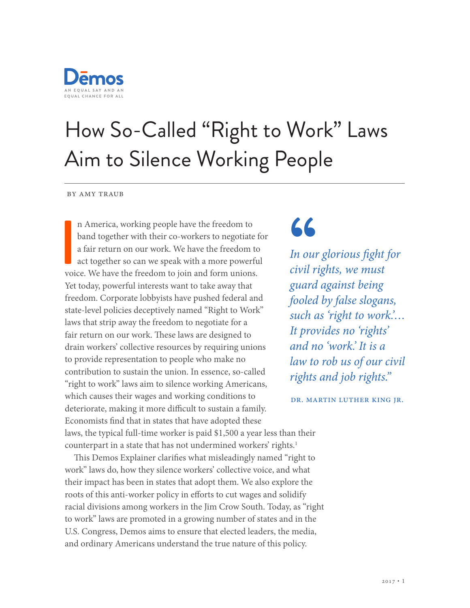

# How So-Called "Right to Work" Laws Aim to Silence Working People

by amy traub

**I**<br>Voie n America, working people have the freedom to band together with their co-workers to negotiate for a fair return on our work. We have the freedom to act together so can we speak with a more powerful voice. We have the freedom to join and form unions. Yet today, powerful interests want to take away that freedom. Corporate lobbyists have pushed federal and state-level policies deceptively named "Right to Work" laws that strip away the freedom to negotiate for a fair return on our work. These laws are designed to drain workers' collective resources by requiring unions to provide representation to people who make no contribution to sustain the union. In essence, so-called "right to work" laws aim to silence working Americans, which causes their wages and working conditions to deteriorate, making it more difficult to sustain a family. Economists fnd that in states that have adopted these laws, the typical full-time worker is paid \$1,500 a year less than their counterpart in a state that has not undermined workers' rights.<sup>1</sup>

This Demos Explainer clarifies what misleadingly named "right to work" laws do, how they silence workers' collective voice, and what their impact has been in states that adopt them. We also explore the roots of this anti-worker policy in efforts to cut wages and solidify racial divisions among workers in the Jim Crow South. Today, as "right to work" laws are promoted in a growing number of states and in the U.S. Congress, Demos aims to ensure that elected leaders, the media, and ordinary Americans understand the true nature of this policy.

## "

*In our glorious*  f*ght for civil rights, we must guard against being fooled by false slogans, such as 'right to work.'… It provides no 'rights' and no 'work.' It is a law to rob us of our civil rights and job rights."*

dr. martin luther king jr.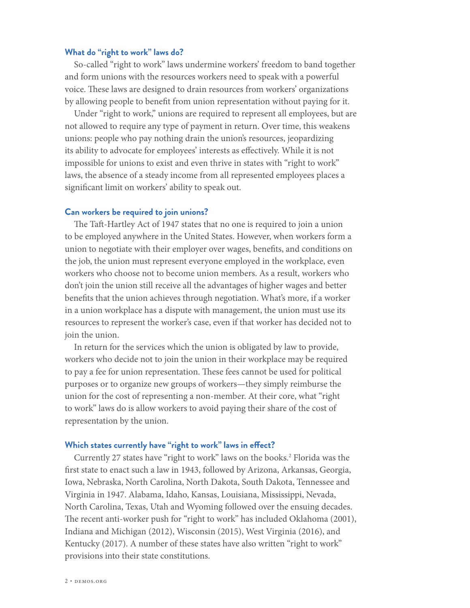#### **What do "right to work" laws do?**

So-called "right to work" laws undermine workers' freedom to band together and form unions with the resources workers need to speak with a powerful voice. These laws are designed to drain resources from workers' organizations by allowing people to beneft from union representation without paying for it.

Under "right to work," unions are required to represent all employees, but are not allowed to require any type of payment in return. Over time, this weakens unions: people who pay nothing drain the union's resources, jeopardizing its ability to advocate for employees' interests as efectively. While it is not impossible for unions to exist and even thrive in states with "right to work" laws, the absence of a steady income from all represented employees places a signifcant limit on workers' ability to speak out.

#### **Can workers be required to join unions?**

The Taft-Hartley Act of 1947 states that no one is required to join a union to be employed anywhere in the United States. However, when workers form a union to negotiate with their employer over wages, benefts, and conditions on the job, the union must represent everyone employed in the workplace, even workers who choose not to become union members. As a result, workers who don't join the union still receive all the advantages of higher wages and better benefts that the union achieves through negotiation. What's more, if a worker in a union workplace has a dispute with management, the union must use its resources to represent the worker's case, even if that worker has decided not to join the union.

In return for the services which the union is obligated by law to provide, workers who decide not to join the union in their workplace may be required to pay a fee for union representation. These fees cannot be used for political purposes or to organize new groups of workers—they simply reimburse the union for the cost of representing a non-member. At their core, what "right to work" laws do is allow workers to avoid paying their share of the cost of representation by the union.

#### **Which states currently have "right to work" laws in efect?**

Currently 27 states have "right to work" laws on the books.<sup>2</sup> Florida was the frst state to enact such a law in 1943, followed by Arizona, Arkansas, Georgia, Iowa, Nebraska, North Carolina, North Dakota, South Dakota, Tennessee and Virginia in 1947. Alabama, Idaho, Kansas, Louisiana, Mississippi, Nevada, North Carolina, Texas, Utah and Wyoming followed over the ensuing decades. The recent anti-worker push for "right to work" has included Oklahoma (2001), Indiana and Michigan (2012), Wisconsin (2015), West Virginia (2016), and Kentucky (2017). A number of these states have also written "right to work" provisions into their state constitutions.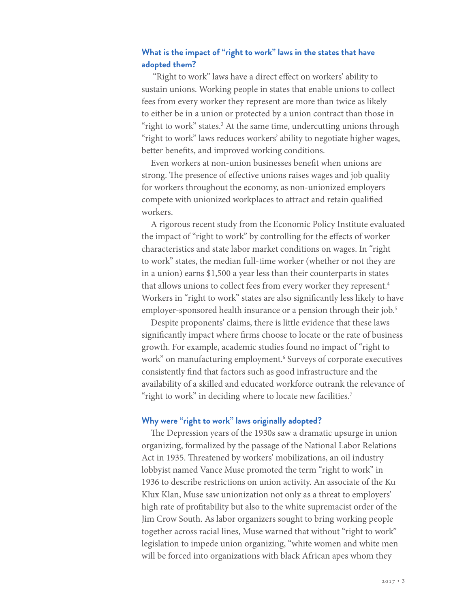## **What is the impact of "right to work" laws in the states that have adopted them?**

 "Right to work" laws have a direct efect on workers' ability to sustain unions. Working people in states that enable unions to collect fees from every worker they represent are more than twice as likely to either be in a union or protected by a union contract than those in "right to work" states.<sup>3</sup> At the same time, undercutting unions through "right to work" laws reduces workers' ability to negotiate higher wages, better benefts, and improved working conditions.

Even workers at non-union businesses beneft when unions are strong. The presence of effective unions raises wages and job quality for workers throughout the economy, as non-unionized employers compete with unionized workplaces to attract and retain qualifed workers.

A rigorous recent study from the Economic Policy Institute evaluated the impact of "right to work" by controlling for the efects of worker characteristics and state labor market conditions on wages. In "right to work" states, the median full-time worker (whether or not they are in a union) earns \$1,500 a year less than their counterparts in states that allows unions to collect fees from every worker they represent.<sup>4</sup> Workers in "right to work" states are also signifcantly less likely to have employer-sponsored health insurance or a pension through their job.<sup>5</sup>

Despite proponents' claims, there is little evidence that these laws signifcantly impact where frms choose to locate or the rate of business growth. For example, academic studies found no impact of "right to work" on manufacturing employment.<sup>6</sup> Surveys of corporate executives consistently fnd that factors such as good infrastructure and the availability of a skilled and educated workforce outrank the relevance of "right to work" in deciding where to locate new facilities.<sup>7</sup>

#### **Why were "right to work" laws originally adopted?**

The Depression years of the 1930s saw a dramatic upsurge in union organizing, formalized by the passage of the National Labor Relations Act in 1935. Threatened by workers' mobilizations, an oil industry lobbyist named Vance Muse promoted the term "right to work" in 1936 to describe restrictions on union activity. An associate of the Ku Klux Klan, Muse saw unionization not only as a threat to employers' high rate of proftability but also to the white supremacist order of the Jim Crow South. As labor organizers sought to bring working people together across racial lines, Muse warned that without "right to work" legislation to impede union organizing, "white women and white men will be forced into organizations with black African apes whom they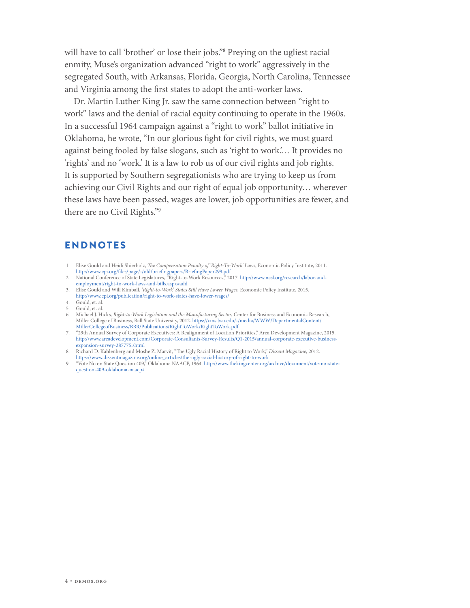will have to call 'brother' or lose their jobs."8 Preying on the ugliest racial enmity, Muse's organization advanced "right to work" aggressively in the segregated South, with Arkansas, Florida, Georgia, North Carolina, Tennessee and Virginia among the frst states to adopt the anti-worker laws.

Dr. Martin Luther King Jr. saw the same connection between "right to work" laws and the denial of racial equity continuing to operate in the 1960s. In a successful 1964 campaign against a "right to work" ballot initiative in Oklahoma, he wrote, "In our glorious fght for civil rights, we must guard against being fooled by false slogans, such as 'right to work.'… It provides no 'rights' and no 'work.' It is a law to rob us of our civil rights and job rights. It is supported by Southern segregationists who are trying to keep us from achieving our Civil Rights and our right of equal job opportunity… wherever these laws have been passed, wages are lower, job opportunities are fewer, and there are no Civil Rights."9

## ENDNOTES

- 1. Elise Gould and Heidi Shierholz, T*e Compensation Penalty of 'Right-To-Work' Laws*, Economic Policy Institute, 2011. [http://www.epi.org/](http://www.epi.org/files/page/-/old/briefingpapers/BriefingPaper299.pdf)fles/page/-/old/briefngpapers/BriefngPaper299.pdf
- 2. National Conference of State Legislatures, "Right-to-Work Resources," 2017. [http://www.ncsl.org/research/labor-and](http://www.ncsl.org/research/labor-and-employment/right-to-work-laws-and-bills.aspx#add)[employment/right-to-work-laws-and-bills.aspx#add](http://www.ncsl.org/research/labor-and-employment/right-to-work-laws-and-bills.aspx#add)
- 3. Elise Gould and Will Kimball, *'Right-to-Work' States Still Have Lower Wages,* Economic Policy Institute, 2015. <http://www.epi.org/publication/right-to-work-states-have-lower-wages/>
- 4. Gould, et. al.
- 5. Gould, et. al.
- 6. Michael J. Hicks*, Right-to-Work Legislation and the Manufacturing Sector*, Center for Business and Economic Research, Miller College of Business, Ball State University, 2012. [https://cms.bsu.edu/-/media/WWW/DepartmentalContent/](https://cms.bsu.edu/-/media/WWW/DepartmentalContent/MillerCollegeofBusiness/BBR/Publications/RightToWork/RightToWork.pdf) [MillerCollegeofBusiness/BBR/Publications/RightToWork/RightToWork.pdf](https://cms.bsu.edu/-/media/WWW/DepartmentalContent/MillerCollegeofBusiness/BBR/Publications/RightToWork/RightToWork.pdf)
- 7. "29th Annual Survey of Corporate Executives: A Realignment of Location Priorities," Area Development Magazine, 2015. [http://www.areadevelopment.com/Corporate-Consultants-Survey-Results/Q1-2015/annual-corporate-executive-business](http://www.areadevelopment.com/Corporate-Consultants-Survey-Results/Q1-2015/annual-corporate-executive-business-expansion-survey-287775.shtml)[expansion-survey-287775.shtml](http://www.areadevelopment.com/Corporate-Consultants-Survey-Results/Q1-2015/annual-corporate-executive-business-expansion-survey-287775.shtml)
- 8. Richard D. Kahlenberg and Moshe Z. Marvit, "The Ugly Racial History of Right to Work," Dissent Magazine, 2012. [https://www.dissentmagazine.org/online\\_articles/the-ugly-racial-history-of-right-to-work](https://www.dissentmagazine.org/online_articles/the-ugly-racial-history-of-right-to-work)
- 9. "Vote No on State Question 409," Oklahoma NAACP, 1964. [http://www.thekingcenter.org/archive/document/vote-no-state](http://www.thekingcenter.org/archive/document/vote-no-state-question-409-oklahoma-naacp)[question-409-oklahoma-naacp#](http://www.thekingcenter.org/archive/document/vote-no-state-question-409-oklahoma-naacp)